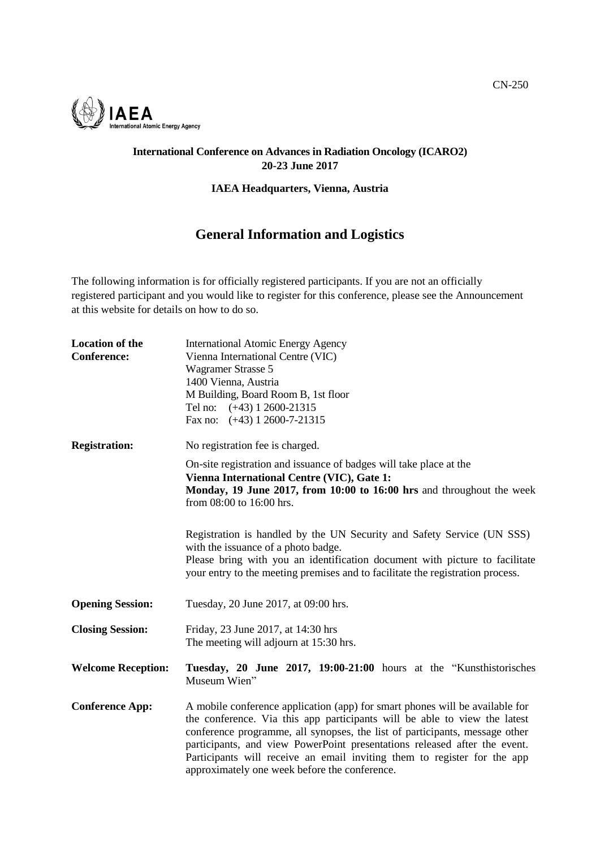

## **International Conference on Advances in Radiation Oncology (ICARO2) 20-23 June 2017**

## **IAEA Headquarters, Vienna, Austria**

## **General Information and Logistics**

The following information is for officially registered participants. If you are not an officially registered participant and you would like to register for this conference, please see the Announcement at this website for details on how to do so.

| <b>Location of the</b><br><b>Conference:</b> | <b>International Atomic Energy Agency</b><br>Vienna International Centre (VIC)<br><b>Wagramer Strasse 5</b><br>1400 Vienna, Austria<br>M Building, Board Room B, 1st floor<br>Tel no: (+43) 1 2600-21315<br>Fax no: $(+43)$ 1 2600-7-21315                                                                                                                                                                                                         |
|----------------------------------------------|----------------------------------------------------------------------------------------------------------------------------------------------------------------------------------------------------------------------------------------------------------------------------------------------------------------------------------------------------------------------------------------------------------------------------------------------------|
| <b>Registration:</b>                         | No registration fee is charged.                                                                                                                                                                                                                                                                                                                                                                                                                    |
|                                              | On-site registration and issuance of badges will take place at the<br>Vienna International Centre (VIC), Gate 1:<br>Monday, 19 June 2017, from 10:00 to 16:00 hrs and throughout the week<br>from 08:00 to 16:00 hrs.                                                                                                                                                                                                                              |
|                                              | Registration is handled by the UN Security and Safety Service (UN SSS)<br>with the issuance of a photo badge.<br>Please bring with you an identification document with picture to facilitate<br>your entry to the meeting premises and to facilitate the registration process.                                                                                                                                                                     |
| <b>Opening Session:</b>                      | Tuesday, 20 June 2017, at 09:00 hrs.                                                                                                                                                                                                                                                                                                                                                                                                               |
| <b>Closing Session:</b>                      | Friday, 23 June 2017, at 14:30 hrs<br>The meeting will adjourn at 15:30 hrs.                                                                                                                                                                                                                                                                                                                                                                       |
| <b>Welcome Reception:</b>                    | Tuesday, 20 June 2017, 19:00-21:00 hours at the "Kunsthistorisches<br>Museum Wien"                                                                                                                                                                                                                                                                                                                                                                 |
| <b>Conference App:</b>                       | A mobile conference application (app) for smart phones will be available for<br>the conference. Via this app participants will be able to view the latest<br>conference programme, all synopses, the list of participants, message other<br>participants, and view PowerPoint presentations released after the event.<br>Participants will receive an email inviting them to register for the app<br>approximately one week before the conference. |